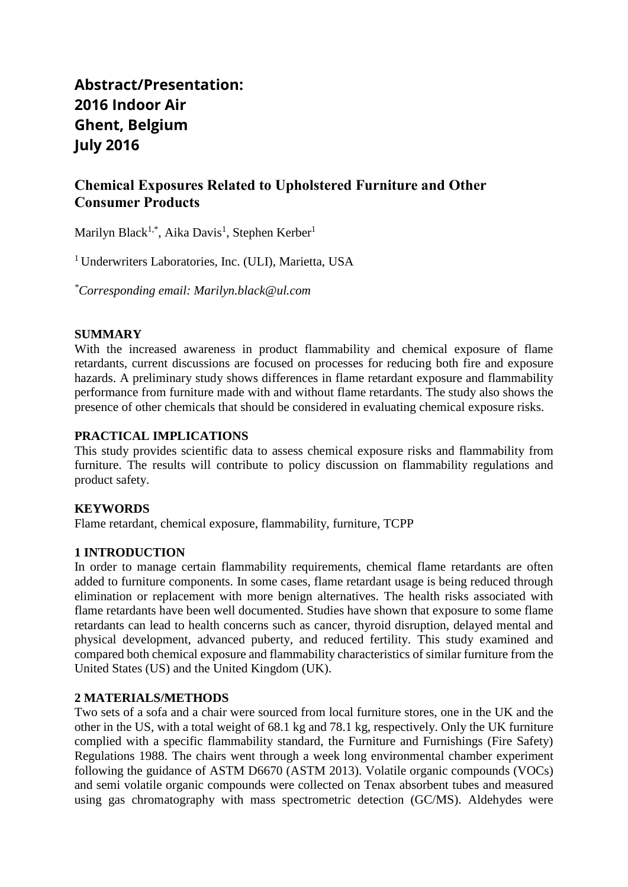# **Abstract/Presentation: 2016 Indoor Air Ghent, Belgium July 2016**

# **Chemical Exposures Related to Upholstered Furniture and Other Consumer Products**

Marilyn Black<sup>1,\*</sup>, Aika Davis<sup>1</sup>, Stephen Kerber<sup>1</sup>

<sup>1</sup> Underwriters Laboratories, Inc. (ULI), Marietta, USA

*\*Corresponding email: Marilyn.black@ul.com*

### **SUMMARY**

With the increased awareness in product flammability and chemical exposure of flame retardants, current discussions are focused on processes for reducing both fire and exposure hazards. A preliminary study shows differences in flame retardant exposure and flammability performance from furniture made with and without flame retardants. The study also shows the presence of other chemicals that should be considered in evaluating chemical exposure risks.

# **PRACTICAL IMPLICATIONS**

This study provides scientific data to assess chemical exposure risks and flammability from furniture. The results will contribute to policy discussion on flammability regulations and product safety.

# **KEYWORDS**

Flame retardant, chemical exposure, flammability, furniture, TCPP

#### **1 INTRODUCTION**

In order to manage certain flammability requirements, chemical flame retardants are often added to furniture components. In some cases, flame retardant usage is being reduced through elimination or replacement with more benign alternatives. The health risks associated with flame retardants have been well documented. Studies have shown that exposure to some flame retardants can lead to health concerns such as cancer, thyroid disruption, delayed mental and physical development, advanced puberty, and reduced fertility. This study examined and compared both chemical exposure and flammability characteristics of similar furniture from the United States (US) and the United Kingdom (UK).

#### **2 MATERIALS/METHODS**

Two sets of a sofa and a chair were sourced from local furniture stores, one in the UK and the other in the US, with a total weight of 68.1 kg and 78.1 kg, respectively. Only the UK furniture complied with a specific flammability standard, the Furniture and Furnishings (Fire Safety) Regulations 1988. The chairs went through a week long environmental chamber experiment following the guidance of ASTM D6670 (ASTM 2013). Volatile organic compounds (VOCs) and semi volatile organic compounds were collected on Tenax absorbent tubes and measured using gas chromatography with mass spectrometric detection (GC/MS). Aldehydes were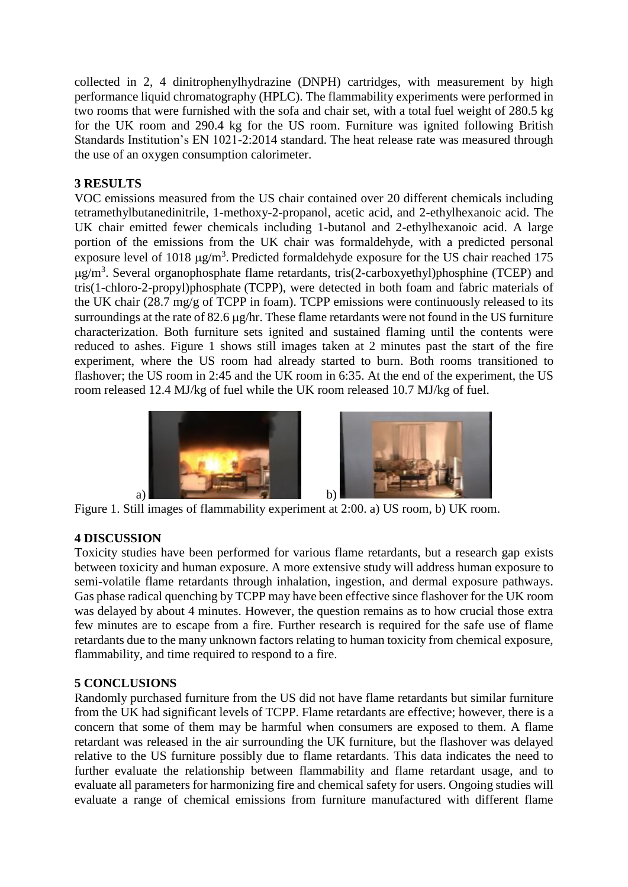collected in 2, 4 dinitrophenylhydrazine (DNPH) cartridges, with measurement by high performance liquid chromatography (HPLC). The flammability experiments were performed in two rooms that were furnished with the sofa and chair set, with a total fuel weight of 280.5 kg for the UK room and 290.4 kg for the US room. Furniture was ignited following British Standards Institution's EN 1021-2:2014 standard. The heat release rate was measured through the use of an oxygen consumption calorimeter.

# **3 RESULTS**

VOC emissions measured from the US chair contained over 20 different chemicals including tetramethylbutanedinitrile, 1-methoxy-2-propanol, acetic acid, and 2-ethylhexanoic acid. The UK chair emitted fewer chemicals including 1-butanol and 2-ethylhexanoic acid. A large portion of the emissions from the UK chair was formaldehyde, with a predicted personal exposure level of 1018  $\mu$ g/m<sup>3</sup>. Predicted formaldehyde exposure for the US chair reached 175  $\mu$ g/m<sup>3</sup>. Several organophosphate flame retardants, tris(2-carboxyethyl)phosphine (TCEP) and tris(1-chloro-2-propyl)phosphate (TCPP), were detected in both foam and fabric materials of the UK chair (28.7 mg/g of TCPP in foam). TCPP emissions were continuously released to its surroundings at the rate of  $82.6 \mu$ g/hr. These flame retardants were not found in the US furniture characterization. Both furniture sets ignited and sustained flaming until the contents were reduced to ashes. Figure 1 shows still images taken at 2 minutes past the start of the fire experiment, where the US room had already started to burn. Both rooms transitioned to flashover; the US room in 2:45 and the UK room in 6:35. At the end of the experiment, the US room released 12.4 MJ/kg of fuel while the UK room released 10.7 MJ/kg of fuel.





Figure 1. Still images of flammability experiment at 2:00. a) US room, b) UK room.

# **4 DISCUSSION**

Toxicity studies have been performed for various flame retardants, but a research gap exists between toxicity and human exposure. A more extensive study will address human exposure to semi-volatile flame retardants through inhalation, ingestion, and dermal exposure pathways. Gas phase radical quenching by TCPP may have been effective since flashover for the UK room was delayed by about 4 minutes. However, the question remains as to how crucial those extra few minutes are to escape from a fire. Further research is required for the safe use of flame retardants due to the many unknown factors relating to human toxicity from chemical exposure, flammability, and time required to respond to a fire.

#### **5 CONCLUSIONS**

Randomly purchased furniture from the US did not have flame retardants but similar furniture from the UK had significant levels of TCPP. Flame retardants are effective; however, there is a concern that some of them may be harmful when consumers are exposed to them. A flame retardant was released in the air surrounding the UK furniture, but the flashover was delayed relative to the US furniture possibly due to flame retardants. This data indicates the need to further evaluate the relationship between flammability and flame retardant usage, and to evaluate all parameters for harmonizing fire and chemical safety for users. Ongoing studies will evaluate a range of chemical emissions from furniture manufactured with different flame